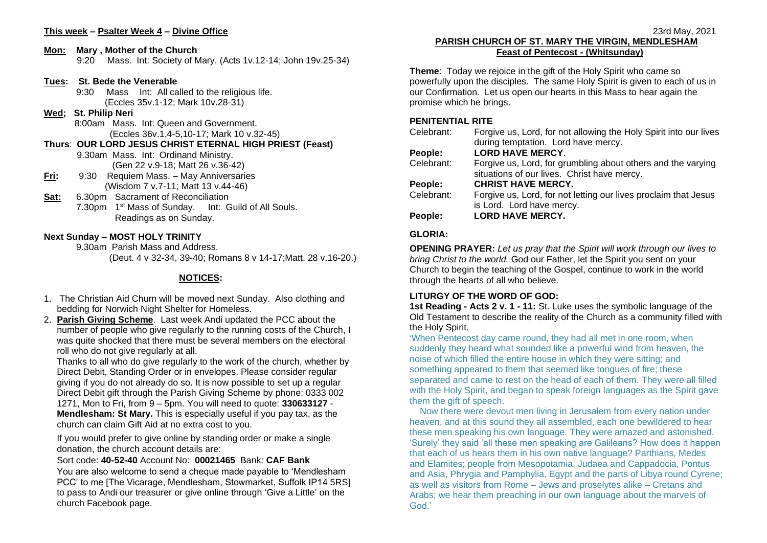# **This week – Psalter Week 4 – Divine Office**

#### **Mon: Mary , Mother of the Church**

9:20 Mass. Int: Society of Mary. (Acts 1v.12-14; John 19v.25-34)

### **Tues: St. Bede the Venerable**

9:30 Mass Int: All called to the religious life. (Eccles 35v.1-12; Mark 10v.28-31)

### **Wed; St. Philip Neri**

 8:00am Mass. Int: Queen and Government. (Eccles 36v.1,4-5,10-17; Mark 10 v.32-45)

**Thurs**: **OUR LORD JESUS CHRIST ETERNAL HIGH PRIEST (Feast)** 9.30am Mass. Int: Ordinand Ministry. (Gen 22 v.9-18; Matt 26 v.36-42)

- **Fri:** 9:30 Requiem Mass. May Anniversaries (Wisdom 7 v.7-11; Matt 13 v.44-46)
- **Sat:** 6.30pm Sacrament of Reconciliation 7.30pm 1<sup>st</sup> Mass of Sunday. Int: Guild of All Souls. Readings as on Sunday.

# **Next Sunday – MOST HOLY TRINITY**

9.30am Parish Mass and Address.

(Deut. 4 v 32-34, 39-40; Romans 8 v 14-17;Matt. 28 v.16-20.)

# **NOTICES:**

- 1. The Christian Aid Churn will be moved next Sunday. Also clothing and bedding for Norwich Night Shelter for Homeless.
- 2. **Parish Giving Scheme**. Last week Andi updated the PCC about the number of people who give regularly to the running costs of the Church, I was quite shocked that there must be several members on the electoral roll who do not give regularly at all.

Thanks to all who do give regularly to the work of the church, whether by Direct Debit, Standing Order or in envelopes. Please consider regular giving if you do not already do so. It is now possible to set up a regular Direct Debit gift through the Parish Giving Scheme by phone: 0333 002 1271, Mon to Fri, from 9 – 5pm. You will need to quote: **330633127** - **Mendlesham: St Mary.** This is especially useful if you pay tax, as the church can claim Gift Aid at no extra cost to you.

If you would prefer to give online by standing order or make a single donation, the church account details are:

### Sort code: **40-52-40** Account No: **00021465** Bank: **CAF Bank**

You are also welcome to send a cheque made payable to 'Mendlesham PCC' to me [The Vicarage, Mendlesham, Stowmarket, Suffolk IP14 5RS] to pass to Andi our treasurer or give online through 'Give a Little' on the church Facebook page.

### 23rd May, 2021 **PARISH CHURCH OF ST. MARY THE VIRGIN, MENDLESHAM Feast of Pentecost - (Whitsunday)**

**Theme**: Today we rejoice in the gift of the Holy Spirit who came so powerfully upon the disciples. The same Holy Spirit is given to each of us in our Confirmation. Let us open our hearts in this Mass to hear again the promise which he brings.

### **PENITENTIAL RITE**

| Celebrant: | Forgive us, Lord, for not allowing the Holy Spirit into our lives |
|------------|-------------------------------------------------------------------|
|            | during temptation. Lord have mercy.                               |
| People:    | <b>LORD HAVE MERCY.</b>                                           |
| Celebrant: | Forgive us, Lord, for grumbling about others and the varying      |
|            | situations of our lives. Christ have mercy.                       |
| People:    | <b>CHRIST HAVE MERCY.</b>                                         |
| Celebrant: | Forgive us, Lord, for not letting our lives proclaim that Jesus   |
|            | is Lord. Lord have mercy.                                         |
| People:    | <b>LORD HAVE MERCY.</b>                                           |
|            |                                                                   |

# **GLORIA:**

**OPENING PRAYER:** *Let us pray that the Spirit will work through our lives to bring Christ to the world.* God our Father, let the Spirit you sent on your Church to begin the teaching of the Gospel, continue to work in the world through the hearts of all who believe.

# **LITURGY OF THE WORD OF GOD:**

**1st Reading - Acts 2 v. 1 - 11:** St. Luke uses the symbolic language of the Old Testament to describe the reality of the Church as a community filled with the Holy Spirit.

'When Pentecost day came round, they had all met in one room, when suddenly they heard what sounded like a powerful wind from heaven, the noise of which filled the entire house in which they were sitting; and something appeared to them that seemed like tongues of fire; these separated and came to rest on the head of each of them. They were all filled with the Holy Spirit, and began to speak foreign languages as the Spirit gave them the gift of speech.

 Now there were devout men living in Jerusalem from every nation under heaven, and at this sound they all assembled, each one bewildered to hear these men speaking his own language. They were amazed and astonished. 'Surely' they said 'all these men speaking are Galileans? How does it happen that each of us hears them in his own native language? Parthians, Medes and Elamites; people from Mesopotamia, Judaea and Cappadocia, Pontus and Asia, Phrygia and Pamphylia, Egypt and the parts of Libya round Cyrene; as well as visitors from Rome – Jews and proselytes alike – Cretans and Arabs; we hear them preaching in our own language about the marvels of God.'